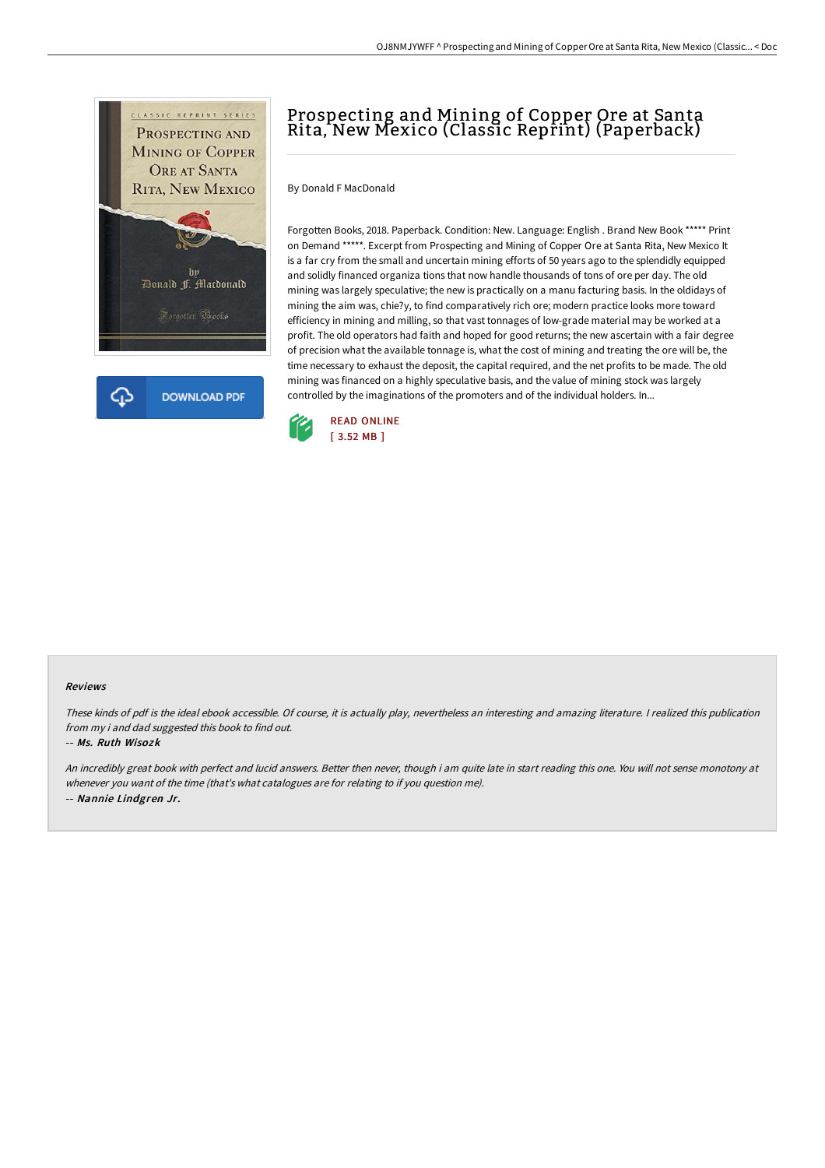

# Prospecting and Mining of Copper Ore at Santa Rita, New Mexico (Classic Reprint) (Paperback)

By Donald F MacDonald

Forgotten Books, 2018. Paperback. Condition: New. Language: English . Brand New Book \*\*\*\*\* Print on Demand \*\*\*\*\*. Excerpt from Prospecting and Mining of Copper Ore at Santa Rita, New Mexico It is a far cry from the small and uncertain mining efforts of 50 years ago to the splendidly equipped and solidly financed organiza tions that now handle thousands of tons of ore per day. The old mining was largely speculative; the new is practically on a manu facturing basis. In the oldidays of mining the aim was, chie?y, to find comparatively rich ore; modern practice looks more toward efficiency in mining and milling, so that vast tonnages of low-grade material may be worked at a profit. The old operators had faith and hoped for good returns; the new ascertain with a fair degree of precision what the available tonnage is, what the cost of mining and treating the ore will be, the time necessary to exhaust the deposit, the capital required, and the net profits to be made. The old mining was financed on a highly speculative basis, and the value of mining stock was largely controlled by the imaginations of the promoters and of the individual holders. In...



#### Reviews

These kinds of pdf is the ideal ebook accessible. Of course, it is actually play, nevertheless an interesting and amazing literature. <sup>I</sup> realized this publication from my i and dad suggested this book to find out.

#### -- Ms. Ruth Wisozk

An incredibly great book with perfect and lucid answers. Better then never, though i am quite late in start reading this one. You will not sense monotony at whenever you want of the time (that's what catalogues are for relating to if you question me). -- Nannie Lindgren Jr.